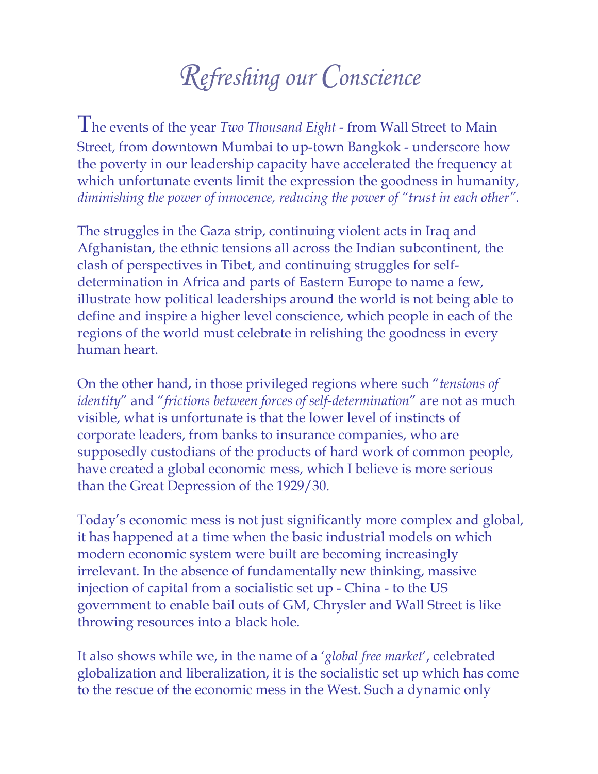## *Refreshing our Conscience*

The events of the year *Two Thousand Eight* - from Wall Street to Main Street, from downtown Mumbai to up-town Bangkok - underscore how the poverty in our leadership capacity have accelerated the frequency at which unfortunate events limit the expression the goodness in humanity, *diminishing the power of innocence, reducing the power of "trust in each other".* 

The struggles in the Gaza strip, continuing violent acts in Iraq and Afghanistan, the ethnic tensions all across the Indian subcontinent, the clash of perspectives in Tibet, and continuing struggles for selfdetermination in Africa and parts of Eastern Europe to name a few, illustrate how political leaderships around the world is not being able to define and inspire a higher level conscience, which people in each of the regions of the world must celebrate in relishing the goodness in every human heart.

On the other hand, in those privileged regions where such "*tensions of identity*" and "*frictions between forces of self-determination*" are not as much visible, what is unfortunate is that the lower level of instincts of corporate leaders, from banks to insurance companies, who are supposedly custodians of the products of hard work of common people, have created a global economic mess, which I believe is more serious than the Great Depression of the 1929/30.

Today's economic mess is not just significantly more complex and global, it has happened at a time when the basic industrial models on which modern economic system were built are becoming increasingly irrelevant. In the absence of fundamentally new thinking, massive injection of capital from a socialistic set up - China - to the US government to enable bail outs of GM, Chrysler and Wall Street is like throwing resources into a black hole.

It also shows while we, in the name of a '*global free market*', celebrated globalization and liberalization, it is the socialistic set up which has come to the rescue of the economic mess in the West. Such a dynamic only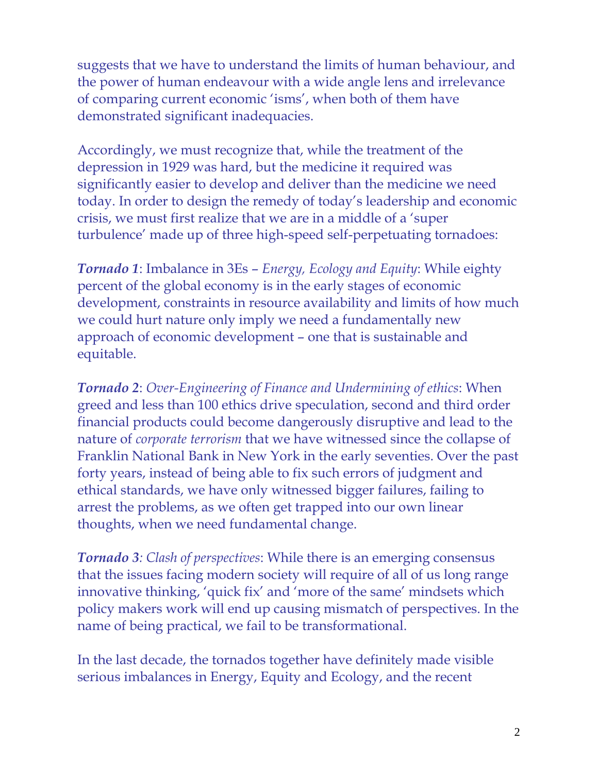suggests that we have to understand the limits of human behaviour, and the power of human endeavour with a wide angle lens and irrelevance of comparing current economic 'isms', when both of them have demonstrated significant inadequacies.

Accordingly, we must recognize that, while the treatment of the depression in 1929 was hard, but the medicine it required was significantly easier to develop and deliver than the medicine we need today. In order to design the remedy of today's leadership and economic crisis, we must first realize that we are in a middle of a 'super turbulence' made up of three high-speed self-perpetuating tornadoes:

*Tornado 1*: Imbalance in 3Es – *Energy, Ecology and Equity*: While eighty percent of the global economy is in the early stages of economic development, constraints in resource availability and limits of how much we could hurt nature only imply we need a fundamentally new approach of economic development – one that is sustainable and equitable.

*Tornado 2*: *Over-Engineering of Finance and Undermining of ethics*: When greed and less than 100 ethics drive speculation, second and third order financial products could become dangerously disruptive and lead to the nature of *corporate terrorism* that we have witnessed since the collapse of Franklin National Bank in New York in the early seventies. Over the past forty years, instead of being able to fix such errors of judgment and ethical standards, we have only witnessed bigger failures, failing to arrest the problems, as we often get trapped into our own linear thoughts, when we need fundamental change.

*Tornado 3: Clash of perspectives*: While there is an emerging consensus that the issues facing modern society will require of all of us long range innovative thinking, 'quick fix' and 'more of the same' mindsets which policy makers work will end up causing mismatch of perspectives. In the name of being practical, we fail to be transformational.

In the last decade, the tornados together have definitely made visible serious imbalances in Energy, Equity and Ecology, and the recent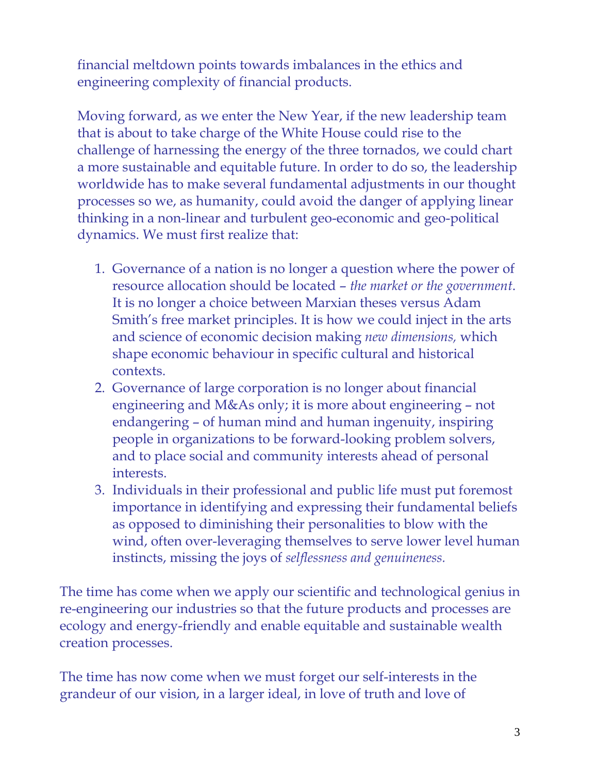financial meltdown points towards imbalances in the ethics and engineering complexity of financial products.

Moving forward, as we enter the New Year, if the new leadership team that is about to take charge of the White House could rise to the challenge of harnessing the energy of the three tornados, we could chart a more sustainable and equitable future. In order to do so, the leadership worldwide has to make several fundamental adjustments in our thought processes so we, as humanity, could avoid the danger of applying linear thinking in a non-linear and turbulent geo-economic and geo-political dynamics. We must first realize that:

- 1. Governance of a nation is no longer a question where the power of resource allocation should be located – *the market or the government*. It is no longer a choice between Marxian theses versus Adam Smith's free market principles. It is how we could inject in the arts and science of economic decision making *new dimensions,* which shape economic behaviour in specific cultural and historical contexts.
- 2. Governance of large corporation is no longer about financial engineering and M&As only; it is more about engineering – not endangering – of human mind and human ingenuity, inspiring people in organizations to be forward-looking problem solvers, and to place social and community interests ahead of personal interests.
- 3. Individuals in their professional and public life must put foremost importance in identifying and expressing their fundamental beliefs as opposed to diminishing their personalities to blow with the wind, often over-leveraging themselves to serve lower level human instincts, missing the joys of *selflessness and genuineness.*

The time has come when we apply our scientific and technological genius in re-engineering our industries so that the future products and processes are ecology and energy-friendly and enable equitable and sustainable wealth creation processes.

The time has now come when we must forget our self-interests in the grandeur of our vision, in a larger ideal, in love of truth and love of